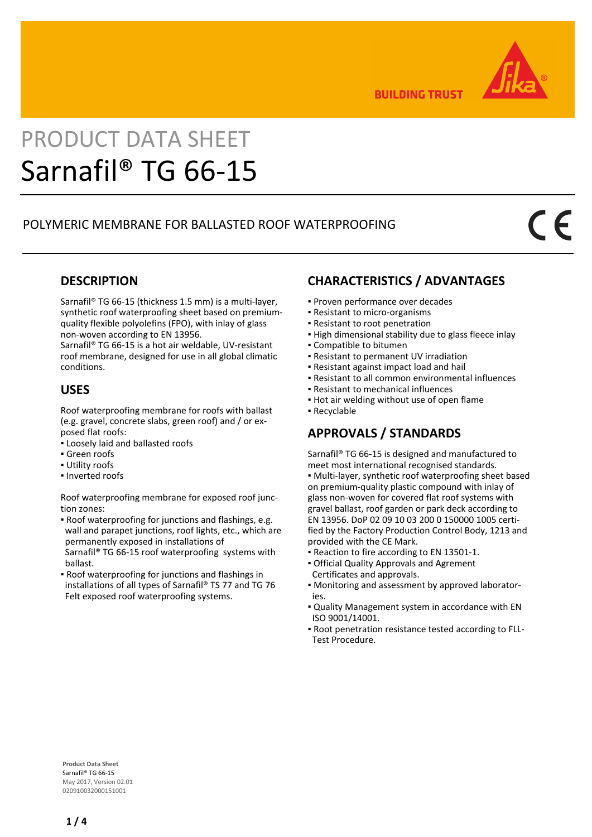

**BUILDING TRUST** 

# PRODUCT DATA SHEET Sarnafil® TG 66-15

## POLYMERIC MEMBRANE FOR BALLASTED ROOF WATERPROOFING

## **DESCRIPTION**

Sarnafil® TG 66-15 (thickness 1.5 mm) is a multi-layer, synthetic roof waterproofing sheet based on premiumquality flexible polyolefins (FPO), with inlay of glass non-woven according to EN 13956.

Sarnafil® TG 66-15 is a hot air weldable, UV-resistant roof membrane, designed for use in all global climatic conditions.

## **USES**

Roof waterproofing membrane for roofs with ballast (e.g. gravel, concrete slabs, green roof) and / or exposed flat roofs:

- Loosely laid and ballasted roofs
- Green roofs
- **· Utility roofs**
- Inverted roofs

Roof waterproofing membrane for exposed roof junction zones:

- Roof waterproofing for junctions and flashings, e.g. wall and parapet junctions, roof lights, etc., which are permanently exposed in installations of Sarnafil® TG 66-15 roof waterproofing systems with ballast.
- Roof waterproofing for junctions and flashings in installations of all types of Sarnafil® TS 77 and TG 76 Felt exposed roof waterproofing systems.

## **CHARACTERISTICS / ADVANTAGES**

- Proven performance over decades
- Resistant to micro-organisms
- Resistant to root penetration
- . High dimensional stability due to glass fleece inlay
- Compatible to bitumen
- Resistant to permanent UV irradiation
- Resistant against impact load and hail
- Resistant to all common environmental influences
- Resistant to mechanical influences
- **.** Hot air welding without use of open flame
- Recyclable

## **APPROVALS / STANDARDS**

Sarnafil® TG 66-15 is designed and manufactured to meet most international recognised standards.

▪ Multi-layer, synthetic roof waterproofing sheet based on premium-quality plastic compound with inlay of glass non-woven for covered flat roof systems with gravel ballast, roof garden or park deck according to EN 13956. DoP 02 09 10 03 200 0 150000 1005 certified by the Factory Production Control Body, 1213 and provided with the CE Mark.

- Reaction to fire according to EN 13501-1.
- **Official Quality Approvals and Agrement** Certificates and approvals.
- Monitoring and assessment by approved laborator ies.
- Quality Management system in accordance with EN ISO 9001/14001.
- Root penetration resistance tested according to FLL- Test Procedure.

**Product Data Sheet** Sarnafil® TG 66-15 May 2017, Version 02.01 020910032000151001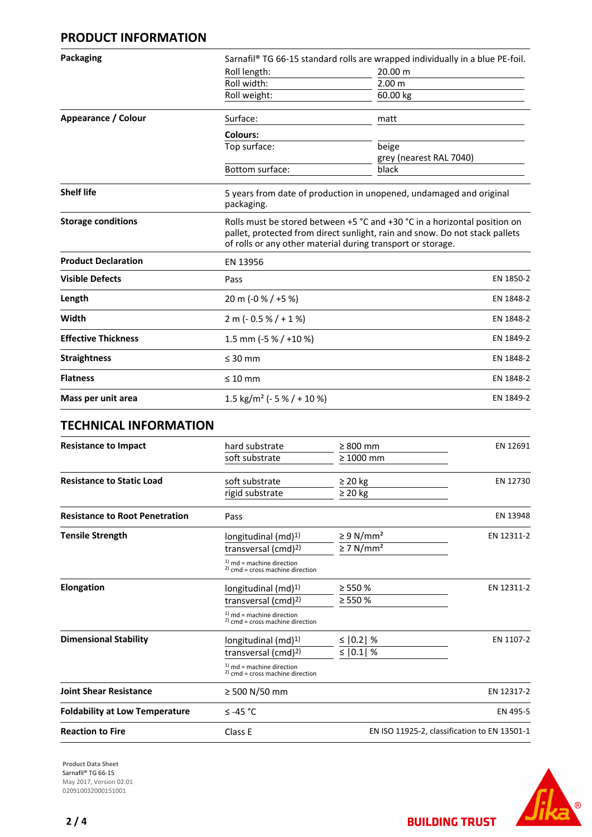## **PRODUCT INFORMATION**

| <b>Packaging</b>           |                                                                                                                                                                                                                         | Sarnafil® TG 66-15 standard rolls are wrapped individually in a blue PE-foil. |  |
|----------------------------|-------------------------------------------------------------------------------------------------------------------------------------------------------------------------------------------------------------------------|-------------------------------------------------------------------------------|--|
|                            | Roll length:                                                                                                                                                                                                            | 20.00 m                                                                       |  |
|                            | Roll width:                                                                                                                                                                                                             | 2.00 m                                                                        |  |
|                            | Roll weight:                                                                                                                                                                                                            | 60.00 kg                                                                      |  |
| Appearance / Colour        | Surface:                                                                                                                                                                                                                | matt                                                                          |  |
|                            | Colours:                                                                                                                                                                                                                |                                                                               |  |
|                            | Top surface:                                                                                                                                                                                                            | beige<br>grey (nearest RAL 7040)                                              |  |
|                            | Bottom surface:                                                                                                                                                                                                         | black                                                                         |  |
| <b>Shelf life</b>          | packaging.                                                                                                                                                                                                              | 5 years from date of production in unopened, undamaged and original           |  |
| <b>Storage conditions</b>  | Rolls must be stored between +5 °C and +30 °C in a horizontal position on<br>pallet, protected from direct sunlight, rain and snow. Do not stack pallets<br>of rolls or any other material during transport or storage. |                                                                               |  |
| <b>Product Declaration</b> | EN 13956                                                                                                                                                                                                                |                                                                               |  |
| <b>Visible Defects</b>     | Pass                                                                                                                                                                                                                    | EN 1850-2                                                                     |  |
| Length                     | 20 m (-0 % / +5 %)                                                                                                                                                                                                      | EN 1848-2                                                                     |  |
| Width                      | $2 m (-0.5 % / + 1 %)$                                                                                                                                                                                                  | EN 1848-2                                                                     |  |
| <b>Effective Thickness</b> | 1.5 mm (-5 % / +10 %)                                                                                                                                                                                                   | EN 1849-2                                                                     |  |
| <b>Straightness</b>        | $\leq 30$ mm                                                                                                                                                                                                            | EN 1848-2                                                                     |  |
| <b>Flatness</b>            | $\leq 10$ mm                                                                                                                                                                                                            | EN 1848-2                                                                     |  |
| Mass per unit area         | 1.5 kg/m <sup>2</sup> ( $-5$ %/ $+10$ %)                                                                                                                                                                                | EN 1849-2                                                                     |  |

## **TECHNICAL INFORMATION**

| <b>Resistance to Impact</b>           | hard substrate                                                       | $\geq 800$ mm              | EN 12691                                     |
|---------------------------------------|----------------------------------------------------------------------|----------------------------|----------------------------------------------|
|                                       | soft substrate                                                       | $\geq 1000$ mm             |                                              |
| <b>Resistance to Static Load</b>      | soft substrate                                                       | $\geq 20$ kg               | EN 12730                                     |
|                                       | rigid substrate                                                      | $\geq$ 20 kg               |                                              |
| <b>Resistance to Root Penetration</b> | Pass                                                                 |                            | EN 13948                                     |
| <b>Tensile Strength</b>               | longitudinal (md) <sup>1)</sup>                                      | $\geq 9$ N/mm <sup>2</sup> | EN 12311-2                                   |
|                                       | transversal (cmd) <sup>2)</sup>                                      | $\geq$ 7 N/mm <sup>2</sup> |                                              |
|                                       | $1)$ md = machine direction<br>$^{2)}$ cmd = cross machine direction |                            |                                              |
| Elongation                            | longitudinal (md) <sup>1)</sup>                                      | $\geq$ 550 %               | EN 12311-2                                   |
|                                       | transversal (cmd) <sup>2)</sup>                                      | $\geq$ 550 %               |                                              |
|                                       | $1)$ md = machine direction<br>$^{2)}$ cmd = cross machine direction |                            |                                              |
| <b>Dimensional Stability</b>          | longitudinal (md) <sup>1)</sup>                                      | ≤ $ 0.2 $ %                | EN 1107-2                                    |
|                                       | transversal (cmd) <sup>2)</sup>                                      | ≤   0.1   %                |                                              |
|                                       | $1$ md = machine direction<br>$^{2)}$ cmd = cross machine direction  |                            |                                              |
| <b>Joint Shear Resistance</b>         | $\geq$ 500 N/50 mm                                                   |                            | EN 12317-2                                   |
| <b>Foldability at Low Temperature</b> | $≤ -45 °C$                                                           |                            | EN 495-5                                     |
| <b>Reaction to Fire</b>               | Class E                                                              |                            | EN ISO 11925-2, classification to EN 13501-1 |

**Product Data Sheet** Sarnafil® TG 66-15 May 2017, Version 02.01 020910032000151001



**BUILDING TRUST**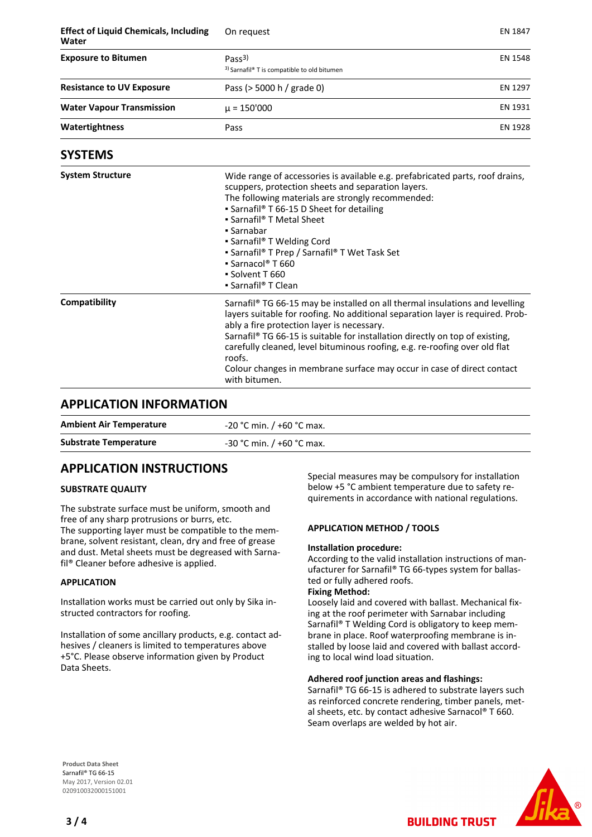| <b>Effect of Liquid Chemicals, Including</b><br>Water | On request                                                                                                                                                                                                                                                                                                                                                                                                                                                                      | EN 1847        |
|-------------------------------------------------------|---------------------------------------------------------------------------------------------------------------------------------------------------------------------------------------------------------------------------------------------------------------------------------------------------------------------------------------------------------------------------------------------------------------------------------------------------------------------------------|----------------|
| <b>Exposure to Bitumen</b>                            | Pass <sup>3</sup><br><sup>3)</sup> Sarnafil <sup>®</sup> T is compatible to old bitumen                                                                                                                                                                                                                                                                                                                                                                                         | EN 1548        |
| <b>Resistance to UV Exposure</b>                      | Pass (> 5000 h / grade 0)                                                                                                                                                                                                                                                                                                                                                                                                                                                       | EN 1297        |
| <b>Water Vapour Transmission</b>                      | $\mu = 150'000$                                                                                                                                                                                                                                                                                                                                                                                                                                                                 | EN 1931        |
| Watertightness                                        | Pass                                                                                                                                                                                                                                                                                                                                                                                                                                                                            | <b>EN 1928</b> |
| <b>SYSTEMS</b>                                        |                                                                                                                                                                                                                                                                                                                                                                                                                                                                                 |                |
| <b>System Structure</b>                               | Wide range of accessories is available e.g. prefabricated parts, roof drains,<br>scuppers, protection sheets and separation layers.<br>The following materials are strongly recommended:<br>• Sarnafil® T 66-15 D Sheet for detailing<br>• Sarnafil® T Metal Sheet<br>• Sarnabar<br>• Sarnafil® T Welding Cord<br>• Sarnafil® T Prep / Sarnafil® T Wet Task Set<br>$\bullet$ Sarnacol® T 660<br>Solvent T 660<br>• Sarnafil® T Clean                                            |                |
| Compatibility                                         | Sarnafil® TG 66-15 may be installed on all thermal insulations and levelling<br>layers suitable for roofing. No additional separation layer is required. Prob-<br>ably a fire protection layer is necessary.<br>Sarnafil® TG 66-15 is suitable for installation directly on top of existing,<br>carefully cleaned, level bituminous roofing, e.g. re-roofing over old flat<br>roofs.<br>Colour changes in membrane surface may occur in case of direct contact<br>with bitumen. |                |

## **APPLICATION INFORMATION**

| <b>Ambient Air Temperature</b> | $-20$ °C min. / +60 °C max. |
|--------------------------------|-----------------------------|
| <b>Substrate Temperature</b>   | $-30$ °C min. / +60 °C max. |

## **APPLICATION INSTRUCTIONS**

### **SUBSTRATE QUALITY**

The substrate surface must be uniform, smooth and free of any sharp protrusions or burrs, etc. The supporting layer must be compatible to the membrane, solvent resistant, clean, dry and free of grease and dust. Metal sheets must be degreased with Sarnafil® Cleaner before adhesive is applied.

#### **APPLICATION**

Installation works must be carried out only by Sika instructed contractors for roofing.

Installation of some ancillary products, e.g. contact adhesives / cleaners is limited to temperatures above +5°C. Please observe information given by Product Data Sheets.

Special measures may be compulsory for installation below +5 °C ambient temperature due to safety requirements in accordance with national regulations.

#### **APPLICATION METHOD / TOOLS**

#### **Installation procedure:**

According to the valid installation instructions of manufacturer for Sarnafil® TG 66-types system for ballasted or fully adhered roofs.

### **Fixing Method:**

Loosely laid and covered with ballast. Mechanical fixing at the roof perimeter with Sarnabar including Sarnafil® T Welding Cord is obligatory to keep membrane in place. Roof waterproofing membrane is installed by loose laid and covered with ballast according to local wind load situation.

#### **Adhered roof junction areas and flashings:**

Sarnafil® TG 66-15 is adhered to substrate layers such as reinforced concrete rendering, timber panels, metal sheets, etc. by contact adhesive Sarnacol® T 660. Seam overlaps are welded by hot air.

**BUILDING TRUST** 



**Product Data Sheet** Sarnafil® TG 66-15 May 2017, Version 02.01 020910032000151001